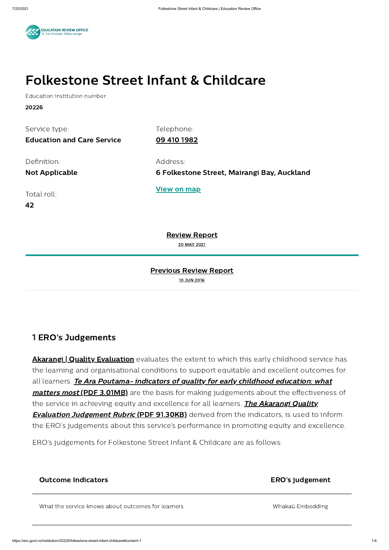

# Folkestone Street Infant & Childcare

Education institution number:

20226

| Service type:                     | Telephone:                                  |
|-----------------------------------|---------------------------------------------|
| <b>Education and Care Service</b> | 09 410 1982                                 |
|                                   |                                             |
| Definition:                       | Address:                                    |
| <b>Not Applicable</b>             | 6 Folkestone Street, Mairangi Bay, Auckland |
|                                   |                                             |
| Total roll:                       | <u>View on map</u>                          |
| 42                                |                                             |
|                                   |                                             |
|                                   |                                             |

[Review](#page-0-0) Report 20 MAY 2021

#### Previous Review Report

10 JUN 2016

### <span id="page-0-0"></span>1 ERO's Judgements

**Akarangi | Quality [Evaluation](https://ero.govt.nz/how-ero-reviews/early-childhood-services/akarangi-quality-evaluation)** evaluates the extent to which this early childhood service has the learning and organisational conditions to support equitable and excellent outcomes for all learners. Te Ara [Poutama- indicators](https://ero.govt.nz/how-ero-reviews/early-childhood-services/akarangi-quality-evaluation/te-ara-poutama-indicators-of-quality-for-early-childhood-education-what-matters) of quality for early childhood education: what matters most (PDF 3.01MB) are the basis for making judgements about the effectiveness of the service in achieving equity and excellence for all learners. The Akarangi Quality **Evaluation [Judgement](https://ero.govt.nz/how-ero-reviews/early-childhood-services/akarangi-quality-evaluation/akarangi-quality-evaluation-judgement-rubric) Rubric (PDF 91.30KB)** derived from the indicators, is used to inform

the ERO's judgements about this service's performance in promoting equity and excellence.

ERO's judgements for Folkestone Street Infant & Childcare are as follows:

Outcome Indicators **ERO's judgement** 

What the service knows about outcomes for learners What the service knows about outcomes for learners Whakaū Embedding

https://ero.govt.nz/institution/20226/folkestone-street-infant-childcare#content-1 1/4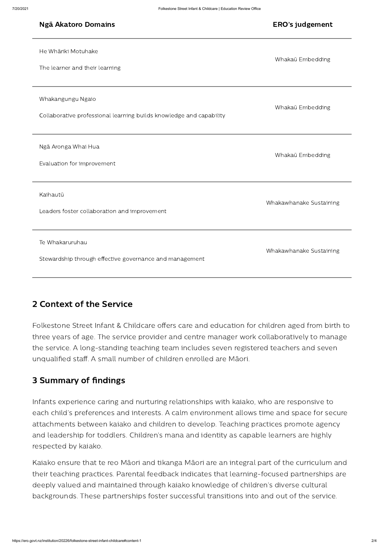| Ngā Akatoro Domains                                                                      | <b>ERO's judgement</b>  |
|------------------------------------------------------------------------------------------|-------------------------|
| He Whāriki Motuhake<br>The learner and their learning                                    | Whakaū Embedding        |
| Whakangungu Ngaio<br>Collaborative professional learning builds knowledge and capability | Whakaū Embedding        |
| Ngā Aronga Whai Hua<br>Evaluation for improvement                                        | Whakaū Embedding        |
| Kaihautū<br>Leaders foster collaboration and improvement                                 | Whakawhanake Sustaining |
| Te Whakaruruhau<br>Stewardship through effective governance and management               | Whakawhanake Sustaining |

#### 2 Context of the Service

Folkestone Street Infant & Childcare offers care and education for children aged from birth to three years of age. The service provider and centre manager work collaboratively to manage the service. A long-standing teaching team includes seven registered teachers and seven unqualified staff. A small number of children enrolled are Māori.

#### 3 Summary of findings

Infants experience caring and nurturing relationships with kaiako, who are responsive to each child's preferences and interests. A calm environment allows time and space for secure attachments between kaiako and children to develop. Teaching practices promote agency and leadership for toddlers. Children's mana and identity as capable learners are highly respected by kaiako.

Kaiako ensure that te reo Māori and tikanga Māori are an integral part of the curriculum and their teaching practices. Parental feedback indicates that learning-focused partnerships are deeply valued and maintained through kaiako knowledge of children's diverse cultural backgrounds. These partnerships foster successful transitions into and out of the service.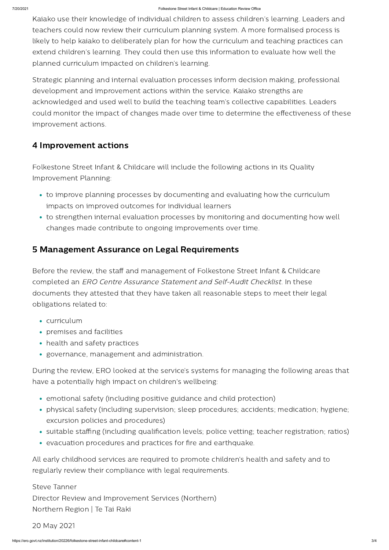Kaiako use their knowledge of individual children to assess children's learning. Leaders and teachers could now review their curriculum planning system. A more formalised process is likely to help kaiako to deliberately plan for how the curriculum and teaching practices can extend children's learning. They could then use this information to evaluate how well the planned curriculum impacted on children's learning.

Strategic planning and internal evaluation processes inform decision making, professional development and improvement actions within the service. Kaiako strengths are acknowledged and used well to build the teaching team's collective capabilities. Leaders could monitor the impact of changes made over time to determine the effectiveness of these improvement actions.

- curriculum
- premises and facilities
- health and safety practices
- governance, management and administration.

## 4 Improvement actions

Folkestone Street Infant & Childcare will include the following actions in its Quality Improvement Planning:

- to improve planning processes by documenting and evaluating how the curriculum impacts on improved outcomes for individual learners
- to strengthen internal evaluation processes by monitoring and documenting how well changes made contribute to ongoing improvements over time.

## 5 Management Assurance on Legal Requirements

Before the review, the staff and management of Folkestone Street Infant & Childcare completed an ERO Centre Assurance Statement and Self-Audit Checklist. In these documents they attested that they have taken all reasonable steps to meet their legal obligations related to:

During the review, ERO looked at the service's systems for managing the following areas that have a potentially high impact on children's wellbeing:

- emotional safety (including positive guidance and child protection)
- physical safety (including supervision; sleep procedures; accidents; medication; hygiene;

excursion policies and procedures)

- suitable staffing (including qualification levels; police vetting; teacher registration; ratios)
- evacuation procedures and practices for fire and earthquake.

All early childhood services are required to promote children's health and safety and to regularly review their compliance with legal requirements.

Steve Tanner

Director Review and Improvement Services (Northern)

Northern Region | Te Tai Raki

20 May 2021